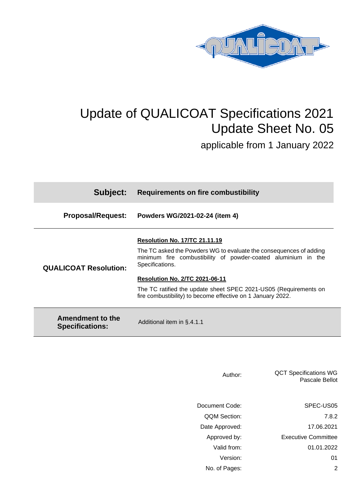

## Update of QUALICOAT Specifications 2021 Update Sheet No. 05

applicable from 1 January 2022

| Subject:                                   | <b>Requirements on fire combustibility</b>                                                                                                             |
|--------------------------------------------|--------------------------------------------------------------------------------------------------------------------------------------------------------|
| <b>Proposal/Request:</b>                   | Powders WG/2021-02-24 (item 4)                                                                                                                         |
| <b>QUALICOAT Resolution:</b>               | <b>Resolution No. 17/TC 21.11.19</b>                                                                                                                   |
|                                            | The TC asked the Powders WG to evaluate the consequences of adding<br>minimum fire combustibility of powder-coated aluminium in the<br>Specifications. |
|                                            | <b>Resolution No. 2/TC 2021-06-11</b>                                                                                                                  |
|                                            | The TC ratified the update sheet SPEC 2021-US05 (Requirements on<br>fire combustibility) to become effective on 1 January 2022.                        |
| Amendment to the<br><b>Specifications:</b> | Additional item in §.4.1.1                                                                                                                             |

| Author:             | <b>QCT Specifications WG</b><br>Pascale Bellot |
|---------------------|------------------------------------------------|
| Document Code:      | SPEC-US05                                      |
| <b>QQM Section:</b> | 7.8.2                                          |
| Date Approved:      | 17.06.2021                                     |
| Approved by:        | <b>Executive Committee</b>                     |
| Valid from:         | 01.01.2022                                     |
| Version:            | 01                                             |
| No. of Pages:       | 2                                              |
|                     |                                                |